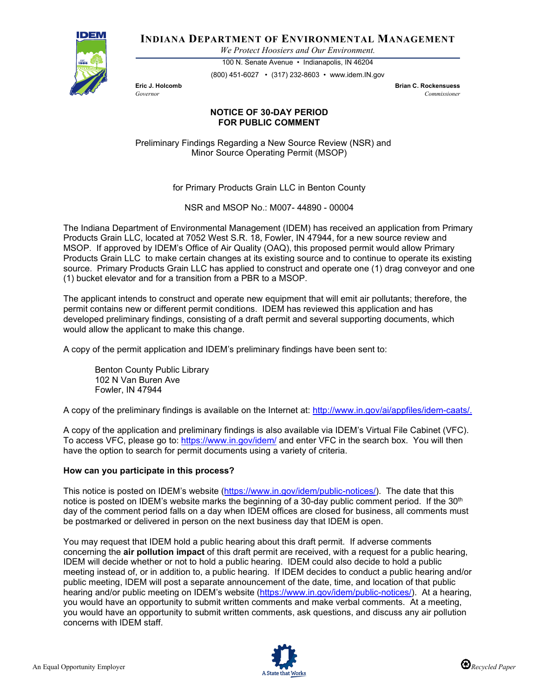

**INDIANA DEPARTMENT OF ENVIRONMENTAL MANAGEMENT**

*We Protect Hoosiers and Our Environment.*

100 N. Senate Avenue • Indianapolis, IN 46204 (800) 451-6027 • (317) 232-8603 • www.idem.IN.gov

**Eric J. Holcomb Brian C. Rockensuess** *Governor Commissioner* 

## **NOTICE OF 30-DAY PERIOD FOR PUBLIC COMMENT**

Preliminary Findings Regarding a New Source Review (NSR) and Minor Source Operating Permit (MSOP)

for Primary Products Grain LLC in Benton County

NSR and MSOP No.: M007- 44890 - 00004

The Indiana Department of Environmental Management (IDEM) has received an application from Primary Products Grain LLC, located at 7052 West S.R. 18, Fowler, IN 47944, for a new source review and MSOP. If approved by IDEM's Office of Air Quality (OAQ), this proposed permit would allow Primary Products Grain LLC to make certain changes at its existing source and to continue to operate its existing source. Primary Products Grain LLC has applied to construct and operate one (1) drag conveyor and one (1) bucket elevator and for a transition from a PBR to a MSOP.

The applicant intends to construct and operate new equipment that will emit air pollutants; therefore, the permit contains new or different permit conditions. IDEM has reviewed this application and has developed preliminary findings, consisting of a draft permit and several supporting documents, which would allow the applicant to make this change.

A copy of the permit application and IDEM's preliminary findings have been sent to:

Benton County Public Library 102 N Van Buren Ave Fowler, IN 47944

A copy of the preliminary findings is available on the Internet at: [http://www.in.gov/ai/appfiles/idem-caats/.](http://www.in.gov/ai/appfiles/idem-caats/)

A copy of the application and preliminary findings is also available via IDEM's Virtual File Cabinet (VFC). To access VFC, please go to:<https://www.in.gov/idem/> and enter VFC in the search box. You will then have the option to search for permit documents using a variety of criteria.

## **How can you participate in this process?**

This notice is posted on IDEM's website [\(https://www.in.gov/idem/public-notices/\)](https://www.in.gov/idem/public-notices/). The date that this notice is posted on IDEM's website marks the beginning of a 30-day public comment period. If the 30<sup>th</sup> day of the comment period falls on a day when IDEM offices are closed for business, all comments must be postmarked or delivered in person on the next business day that IDEM is open.

You may request that IDEM hold a public hearing about this draft permit. If adverse comments concerning the **air pollution impact** of this draft permit are received, with a request for a public hearing, IDEM will decide whether or not to hold a public hearing. IDEM could also decide to hold a public meeting instead of, or in addition to, a public hearing. If IDEM decides to conduct a public hearing and/or public meeting, IDEM will post a separate announcement of the date, time, and location of that public hearing and/or public meeting on IDEM's website [\(https://www.in.gov/idem/public-notices/\)](https://www.in.gov/idem/public-notices/). At a hearing, you would have an opportunity to submit written comments and make verbal comments. At a meeting, you would have an opportunity to submit written comments, ask questions, and discuss any air pollution concerns with IDEM staff.